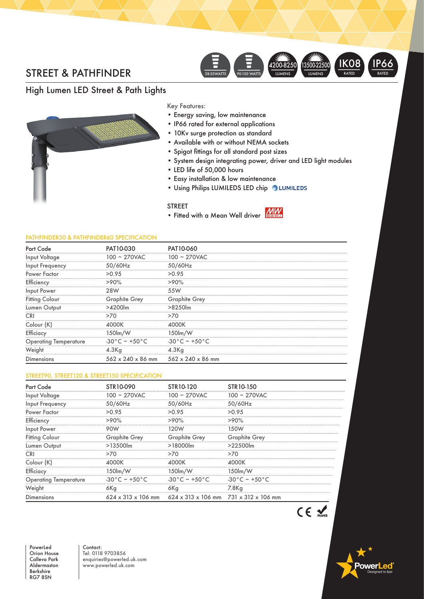## STREET & PATHFINDER



# High Lumen LED Street & Path Lights



Key Features:

- Energy saving, low maintenance
- IP66 rated for external applications
- 10Kv surge protection as standard
- Available with or without NEMA sockets
- Spigot fittings for all standard post sizes
- System design integrating power, driver and LED light modules
- LED life of 50,000 hours
- Easy installation & low maintenance
- Using Philips LUMILEDS LED chip 2 LUMILEDS

### STREET

• Fitted with a Mean Well driver MW

#### PATHFINDER30 & PATHFINDER60 SPECIFICATION

| Part Code                    | PAT10-030                | PAT10-060                                                   |
|------------------------------|--------------------------|-------------------------------------------------------------|
| <br>Input Voltage            | 100 ~ 270VAC             | $100 - 270$ VAC                                             |
| Input Frequency              | 50/60Hz                  | 50/60Hz                                                     |
| Power Factor                 | >0.95                    | >0.95                                                       |
| Efficiency                   | >90%                     | >90%                                                        |
| Input Power                  |                          | 55W                                                         |
| <b>Fitting Colour</b>        | <b>Graphite Grey</b>     | <b>Graphite Grey</b>                                        |
| Lumen Output                 | >4200lm                  | $>8250$ lm                                                  |
|                              |                          |                                                             |
| Colour (K)                   |                          |                                                             |
| Efficiacy                    | 150lm/W                  | 150lm/W                                                     |
| <b>Operating Temperature</b> | $-30^{\circ}$ C ~ +50 °C | $-30^{\circ}$ C ~ +50 °C                                    |
| Weight                       | 4.3 <sub>g</sub>         | $4.3$ Kg                                                    |
| Dimensions                   |                          | $562 \times 240 \times 86$ mm $562 \times 240 \times 86$ mm |

### STREET90, STREET120 & STREET150 SPECIFICATION

| <b>Part Code</b>             | STR10-090                |                                                                                              | STR 10-150               |
|------------------------------|--------------------------|----------------------------------------------------------------------------------------------|--------------------------|
| Input Voltage                | $100 \sim 270$ VAC       | $100 \sim 270$ VAC                                                                           | $100 \sim 270$ VAC       |
| Input Frequency              | 50/60Hz                  | 50/60Hz                                                                                      | 50/60Hz                  |
| Power Factor                 | >0.95                    | >0.95                                                                                        | >0.95                    |
| Efficiency                   | $>90\%$                  | $>90\%$                                                                                      | >90%                     |
| Input Power                  |                          |                                                                                              |                          |
| <b>Fitting Colour</b>        | <b>Graphite Grey</b>     | <b>Graphite Grey</b>                                                                         | <b>Graphite Grey</b>     |
| Lumen Output                 | $>13500$ lm              | $>18000$ lm                                                                                  | $>22500$ lm              |
|                              |                          | >70                                                                                          | >70                      |
| Colour (K)                   |                          |                                                                                              |                          |
| Efficiacy                    | 150lm/W                  | 150lm/W                                                                                      | 150lm/W                  |
| <b>Operating Temperature</b> | $-30^{\circ}$ C ~ +50 °C | $-30^{\circ}$ C ~ +50 °C                                                                     | $-30^{\circ}$ C ~ +50 °C |
| Weight                       | 6Kg                      | 6Kg                                                                                          | 7.8Kg                    |
| Dimensions                   |                          | $624 \times 313 \times 106$ mm $624 \times 313 \times 106$ mm $731 \times 312 \times 106$ mm |                          |

nwerl

PowerLed Orion House Calleva Park Aldermaston Berkshire RG7 8SN

Contact: Tel: 0118 9703856 enquiries@powerled.uk.com www.powerled.uk.com